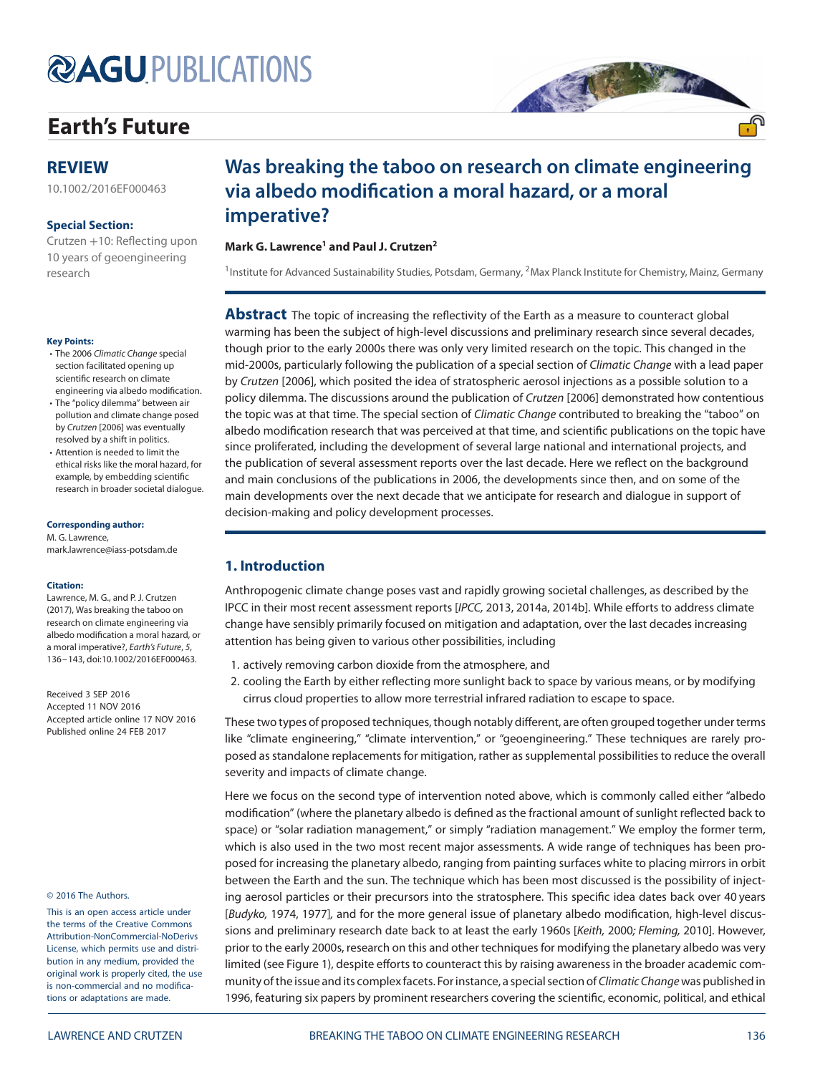# **@AGUPUBLICATIONS**

# **[Earth's Future](http://onlinelibrary.wiley.com/journal/10.1002/%28ISSN%292328-4277)**

# **REVIEW**

[10.1002/2016EF000463](http://dx.doi.org/10.1002/2016EF000463)

## **Special Section:**

Crutzen +10: Reflecting upon [10 years of geoengineering](http://onlinelibrary.wiley.com/journal/10.1002/(ISSN)2328-4277/specialsection/GEOENGIN1) research

#### **Key Points:**

- The 2006 Climatic Change special section facilitated opening up scientific research on climate engineering via albedo modification.
- The "policy dilemma" between air pollution and climate change posed by Crutzen [2006] was eventually resolved by a shift in politics.
- Attention is needed to limit the ethical risks like the moral hazard, for example, by embedding scientific research in broader societal dialogue.

#### **Corresponding author:**

M. G. Lawrence, mark.lawrence@iass-potsdam.de

#### **Citation:**

Lawrence, M. G., and P. J. Crutzen (2017), Was breaking the taboo on research on climate engineering via albedo modification a moral hazard, or a moral imperative?, Earth's Future, 5, 136–143, doi[:10.1002/2016EF000463.](http://dx.doi.org/info:doi/10.1002/2016EF000463)

Received 3 SEP 2016 Accepted 11 NOV 2016 Accepted article online 17 NOV 2016 Published online 24 FEB 2017

#### © 2016 The Authors.

This is an open access article under the terms of the Creative Commons Attribution-NonCommercial-NoDerivs License, which permits use and distribution in any medium, provided the original work is properly cited, the use is non-commercial and no modifications or adaptations are made.

# **Was breaking the taboo on research on climate engineering via albedo modification a moral hazard, or a moral imperative?**

A CAR NO.

#### **Mark G. Lawrence1 and Paul J. Crutzen2**

<sup>1</sup> Institute for Advanced Sustainability Studies, Potsdam, Germany, <sup>2</sup>Max Planck Institute for Chemistry, Mainz, Germany

**Abstract** The topic of increasing the reflectivity of the Earth as a measure to counteract global warming has been the subject of high-level discussions and preliminary research since several decades, though prior to the early 2000s there was only very limited research on the topic. This changed in the mid-2000s, particularly following the publication of a special section of Climatic Change with a lead paper by Crutzen [2006], which posited the idea of stratospheric aerosol injections as a possible solution to a policy dilemma. The discussions around the publication of Crutzen [2006] demonstrated how contentious the topic was at that time. The special section of Climatic Change contributed to breaking the "taboo" on albedo modification research that was perceived at that time, and scientific publications on the topic have since proliferated, including the development of several large national and international projects, and the publication of several assessment reports over the last decade. Here we reflect on the background and main conclusions of the publications in 2006, the developments since then, and on some of the main developments over the next decade that we anticipate for research and dialogue in support of decision-making and policy development processes.

## **1. Introduction**

Anthropogenic climate change poses vast and rapidly growing societal challenges, as described by the IPCC in their most recent assessment reports [IPCC, 2013, 2014a, 2014b]. While efforts to address climate change have sensibly primarily focused on mitigation and adaptation, over the last decades increasing attention has being given to various other possibilities, including

- 1. actively removing carbon dioxide from the atmosphere, and
- 2. cooling the Earth by either reflecting more sunlight back to space by various means, or by modifying cirrus cloud properties to allow more terrestrial infrared radiation to escape to space.

These two types of proposed techniques, though notably different, are often grouped together under terms like "climate engineering," "climate intervention," or "geoengineering." These techniques are rarely proposed as standalone replacements for mitigation, rather as supplemental possibilities to reduce the overall severity and impacts of climate change.

Here we focus on the second type of intervention noted above, which is commonly called either "albedo modification" (where the planetary albedo is defined as the fractional amount of sunlight reflected back to space) or "solar radiation management," or simply "radiation management." We employ the former term, which is also used in the two most recent major assessments. A wide range of techniques has been proposed for increasing the planetary albedo, ranging from painting surfaces white to placing mirrors in orbit between the Earth and the sun. The technique which has been most discussed is the possibility of injecting aerosol particles or their precursors into the stratosphere. This specific idea dates back over 40 years [Budyko, 1974, 1977], and for the more general issue of planetary albedo modification, high-level discussions and preliminary research date back to at least the early 1960s [Keith, 2000; Fleming, 2010]. However, prior to the early 2000s, research on this and other techniques for modifying the planetary albedo was very limited (see Figure 1), despite efforts to counteract this by raising awareness in the broader academic community of the issue and its complex facets. For instance, a special section of Climatic Changewas published in 1996, featuring six papers by prominent researchers covering the scientific, economic, political, and ethical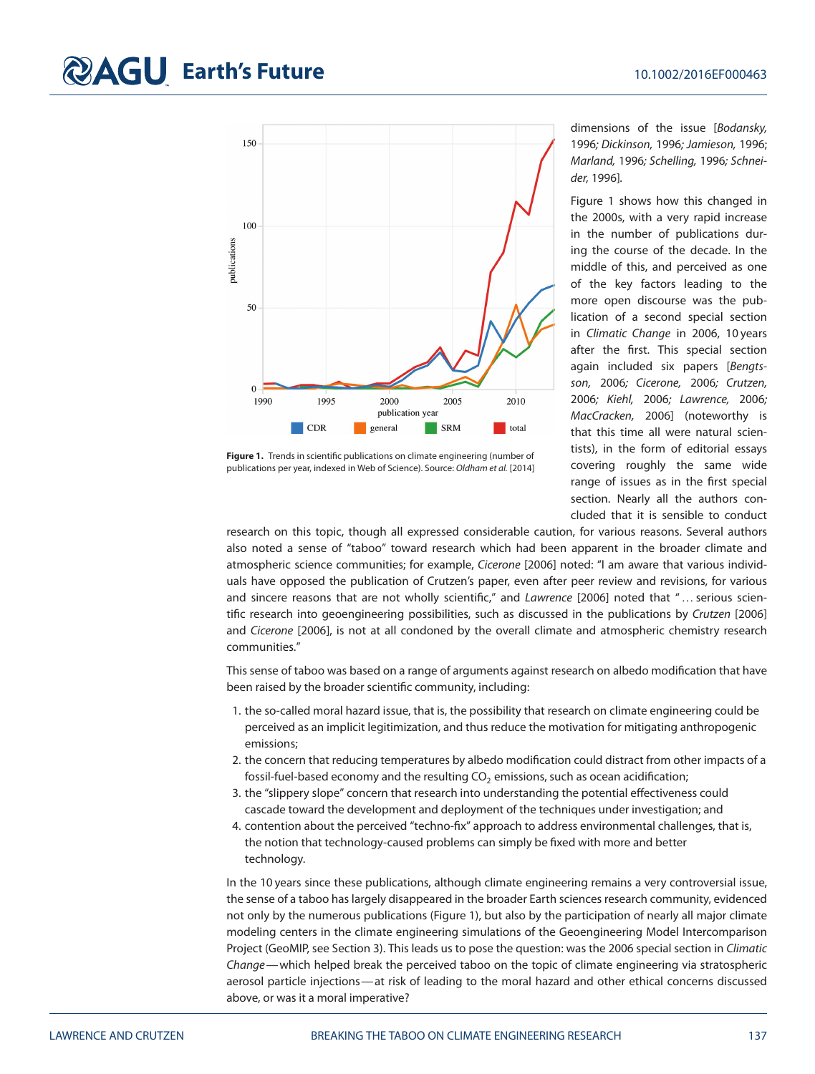

**Figure 1.** Trends in scientific publications on climate engineering (number of publications per year, indexed in Web of Science). Source: Oldham et al. [2014]

dimensions of the issue [Bodansky, 1996; Dickinson, 1996; Jamieson, 1996; Marland, 1996; Schelling, 1996; Schneider, 1996].

Figure 1 shows how this changed in the 2000s, with a very rapid increase in the number of publications during the course of the decade. In the middle of this, and perceived as one of the key factors leading to the more open discourse was the publication of a second special section in Climatic Change in 2006, 10 years after the first. This special section again included six papers [Bengtsson, 2006; Cicerone, 2006; Crutzen, 2006; Kiehl, 2006; Lawrence, 2006; MacCracken, 2006] (noteworthy is that this time all were natural scientists), in the form of editorial essays covering roughly the same wide range of issues as in the first special section. Nearly all the authors concluded that it is sensible to conduct

research on this topic, though all expressed considerable caution, for various reasons. Several authors also noted a sense of "taboo" toward research which had been apparent in the broader climate and atmospheric science communities; for example, Cicerone [2006] noted: "I am aware that various individuals have opposed the publication of Crutzen's paper, even after peer review and revisions, for various and sincere reasons that are not wholly scientific," and Lawrence [2006] noted that "... serious scientific research into geoengineering possibilities, such as discussed in the publications by Crutzen [2006] and Cicerone [2006], is not at all condoned by the overall climate and atmospheric chemistry research communities."

This sense of taboo was based on a range of arguments against research on albedo modification that have been raised by the broader scientific community, including:

- 1. the so-called moral hazard issue, that is, the possibility that research on climate engineering could be perceived as an implicit legitimization, and thus reduce the motivation for mitigating anthropogenic emissions;
- 2. the concern that reducing temperatures by albedo modification could distract from other impacts of a fossil-fuel-based economy and the resulting  $CO<sub>2</sub>$  emissions, such as ocean acidification;
- 3. the "slippery slope" concern that research into understanding the potential effectiveness could cascade toward the development and deployment of the techniques under investigation; and
- 4. contention about the perceived "techno-fix" approach to address environmental challenges, that is, the notion that technology-caused problems can simply be fixed with more and better technology.

In the 10 years since these publications, although climate engineering remains a very controversial issue, the sense of a taboo has largely disappeared in the broader Earth sciences research community, evidenced not only by the numerous publications (Figure 1), but also by the participation of nearly all major climate modeling centers in the climate engineering simulations of the Geoengineering Model Intercomparison Project (GeoMIP, see Section 3). This leads us to pose the question: was the 2006 special section in Climatic Change—which helped break the perceived taboo on the topic of climate engineering via stratospheric aerosol particle injections—at risk of leading to the moral hazard and other ethical concerns discussed above, or was it a moral imperative?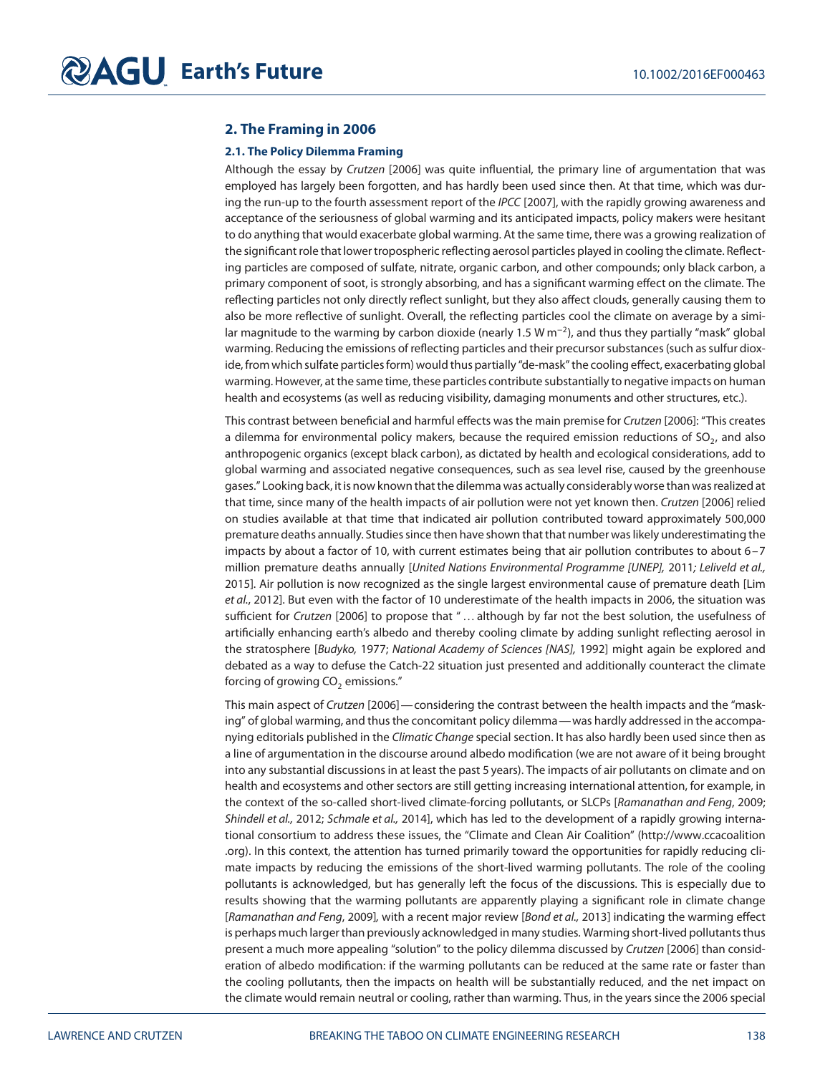### **2. The Framing in 2006**

#### **2.1. The Policy Dilemma Framing**

Although the essay by Crutzen [2006] was quite influential, the primary line of argumentation that was employed has largely been forgotten, and has hardly been used since then. At that time, which was during the run-up to the fourth assessment report of the IPCC [2007], with the rapidly growing awareness and acceptance of the seriousness of global warming and its anticipated impacts, policy makers were hesitant to do anything that would exacerbate global warming. At the same time, there was a growing realization of the significant role that lower tropospheric reflecting aerosol particles played in cooling the climate. Reflecting particles are composed of sulfate, nitrate, organic carbon, and other compounds; only black carbon, a primary component of soot, is strongly absorbing, and has a significant warming effect on the climate. The reflecting particles not only directly reflect sunlight, but they also affect clouds, generally causing them to also be more reflective of sunlight. Overall, the reflecting particles cool the climate on average by a similar magnitude to the warming by carbon dioxide (nearly 1.5 W m<sup>-2</sup>), and thus they partially "mask" global warming. Reducing the emissions of reflecting particles and their precursor substances (such as sulfur dioxide, from which sulfate particles form) would thus partially "de-mask" the cooling effect, exacerbating global warming. However, at the same time, these particles contribute substantially to negative impacts on human health and ecosystems (as well as reducing visibility, damaging monuments and other structures, etc.).

This contrast between beneficial and harmful effects was the main premise for Crutzen [2006]: "This creates a dilemma for environmental policy makers, because the required emission reductions of SO<sub>2</sub>, and also anthropogenic organics (except black carbon), as dictated by health and ecological considerations, add to global warming and associated negative consequences, such as sea level rise, caused by the greenhouse gases." Looking back, it is now known that the dilemma was actually considerably worse than was realized at that time, since many of the health impacts of air pollution were not yet known then. Crutzen [2006] relied on studies available at that time that indicated air pollution contributed toward approximately 500,000 premature deaths annually. Studies since then have shown that that number was likely underestimating the impacts by about a factor of 10, with current estimates being that air pollution contributes to about 6–7 million premature deaths annually [United Nations Environmental Programme [UNEP], 2011; Leliveld et al., 2015]. Air pollution is now recognized as the single largest environmental cause of premature death [Lim et al., 2012]. But even with the factor of 10 underestimate of the health impacts in 2006, the situation was sufficient for Crutzen [2006] to propose that "... although by far not the best solution, the usefulness of artificially enhancing earth's albedo and thereby cooling climate by adding sunlight reflecting aerosol in the stratosphere [Budyko, 1977; National Academy of Sciences [NAS], 1992] might again be explored and debated as a way to defuse the Catch-22 situation just presented and additionally counteract the climate forcing of growing  $CO<sub>2</sub>$  emissions."

This main aspect of Crutzen [2006]—considering the contrast between the health impacts and the "masking" of global warming, and thus the concomitant policy dilemma—was hardly addressed in the accompanying editorials published in the Climatic Change special section. It has also hardly been used since then as a line of argumentation in the discourse around albedo modification (we are not aware of it being brought into any substantial discussions in at least the past 5 years). The impacts of air pollutants on climate and on health and ecosystems and other sectors are still getting increasing international attention, for example, in the context of the so-called short-lived climate-forcing pollutants, or SLCPs [Ramanathan and Feng, 2009; Shindell et al., 2012; Schmale et al., 2014], which has led to the development of a rapidly growing international consortium to address these issues, the "Climate and Clean Air Coalition" [\(http://www.ccacoalition](http://www.ccacoalition.org) [.org\)](http://www.ccacoalition.org). In this context, the attention has turned primarily toward the opportunities for rapidly reducing climate impacts by reducing the emissions of the short-lived warming pollutants. The role of the cooling pollutants is acknowledged, but has generally left the focus of the discussions. This is especially due to results showing that the warming pollutants are apparently playing a significant role in climate change [Ramanathan and Feng, 2009], with a recent major review [Bond et al., 2013] indicating the warming effect is perhaps much larger than previously acknowledged in many studies. Warming short-lived pollutants thus present a much more appealing "solution" to the policy dilemma discussed by Crutzen [2006] than consideration of albedo modification: if the warming pollutants can be reduced at the same rate or faster than the cooling pollutants, then the impacts on health will be substantially reduced, and the net impact on the climate would remain neutral or cooling, rather than warming. Thus, in the years since the 2006 special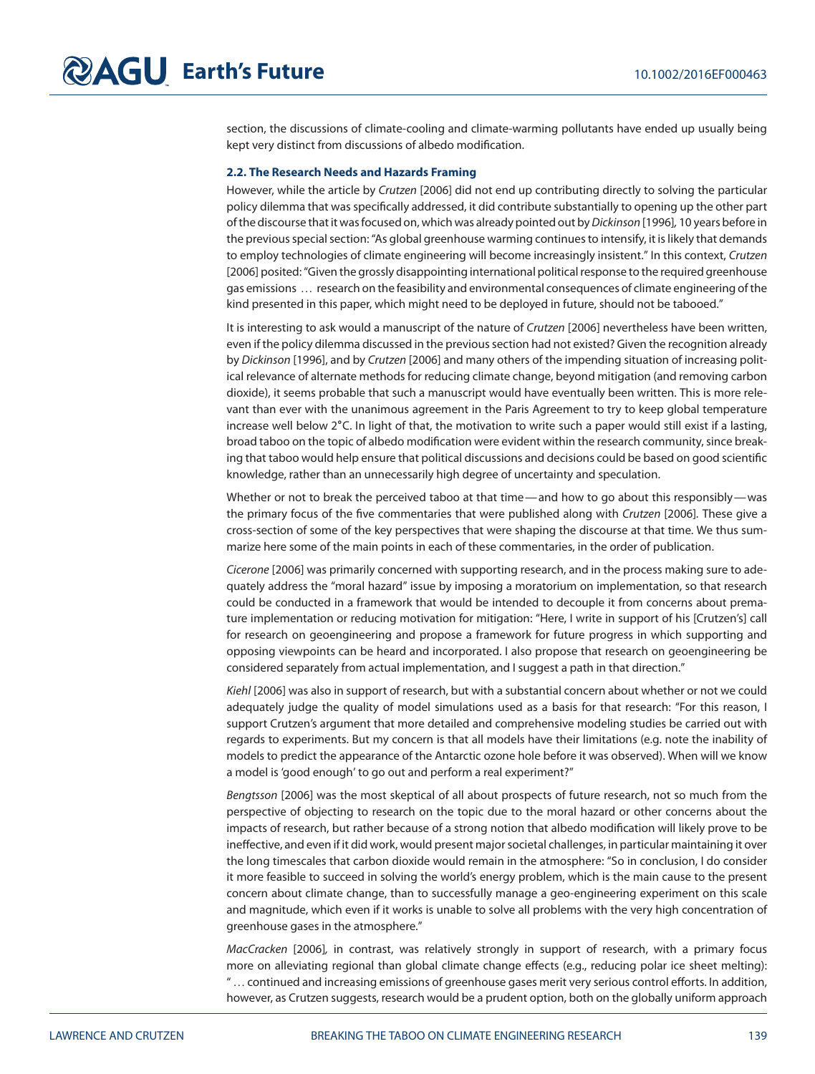section, the discussions of climate-cooling and climate-warming pollutants have ended up usually being kept very distinct from discussions of albedo modification.

#### **2.2. The Research Needs and Hazards Framing**

However, while the article by Crutzen [2006] did not end up contributing directly to solving the particular policy dilemma that was specifically addressed, it did contribute substantially to opening up the other part of the discourse that it was focused on, which was already pointed out by Dickinson [1996], 10 years before in the previous special section: "As global greenhouse warming continues to intensify, it is likely that demands to employ technologies of climate engineering will become increasingly insistent." In this context, Crutzen [2006] posited: "Given the grossly disappointing international political response to the required greenhouse gas emissions … research on the feasibility and environmental consequences of climate engineering of the kind presented in this paper, which might need to be deployed in future, should not be tabooed."

It is interesting to ask would a manuscript of the nature of Crutzen [2006] nevertheless have been written, even if the policy dilemma discussed in the previous section had not existed? Given the recognition already by Dickinson [1996], and by Crutzen [2006] and many others of the impending situation of increasing political relevance of alternate methods for reducing climate change, beyond mitigation (and removing carbon dioxide), it seems probable that such a manuscript would have eventually been written. This is more relevant than ever with the unanimous agreement in the Paris Agreement to try to keep global temperature increase well below 2∘C. In light of that, the motivation to write such a paper would still exist if a lasting, broad taboo on the topic of albedo modification were evident within the research community, since breaking that taboo would help ensure that political discussions and decisions could be based on good scientific knowledge, rather than an unnecessarily high degree of uncertainty and speculation.

Whether or not to break the perceived taboo at that time—and how to go about this responsibly—was the primary focus of the five commentaries that were published along with Crutzen [2006]. These give a cross-section of some of the key perspectives that were shaping the discourse at that time. We thus summarize here some of the main points in each of these commentaries, in the order of publication.

Cicerone [2006] was primarily concerned with supporting research, and in the process making sure to adequately address the "moral hazard" issue by imposing a moratorium on implementation, so that research could be conducted in a framework that would be intended to decouple it from concerns about premature implementation or reducing motivation for mitigation: "Here, I write in support of his [Crutzen's] call for research on geoengineering and propose a framework for future progress in which supporting and opposing viewpoints can be heard and incorporated. I also propose that research on geoengineering be considered separately from actual implementation, and I suggest a path in that direction."

Kiehl [2006] was also in support of research, but with a substantial concern about whether or not we could adequately judge the quality of model simulations used as a basis for that research: "For this reason, I support Crutzen's argument that more detailed and comprehensive modeling studies be carried out with regards to experiments. But my concern is that all models have their limitations (e.g. note the inability of models to predict the appearance of the Antarctic ozone hole before it was observed). When will we know a model is 'good enough' to go out and perform a real experiment?"

Bengtsson [2006] was the most skeptical of all about prospects of future research, not so much from the perspective of objecting to research on the topic due to the moral hazard or other concerns about the impacts of research, but rather because of a strong notion that albedo modification will likely prove to be ineffective, and even if it did work, would present major societal challenges, in particular maintaining it over the long timescales that carbon dioxide would remain in the atmosphere: "So in conclusion, I do consider it more feasible to succeed in solving the world's energy problem, which is the main cause to the present concern about climate change, than to successfully manage a geo-engineering experiment on this scale and magnitude, which even if it works is unable to solve all problems with the very high concentration of greenhouse gases in the atmosphere."

MacCracken [2006], in contrast, was relatively strongly in support of research, with a primary focus more on alleviating regional than global climate change effects (e.g., reducing polar ice sheet melting): " …continued and increasing emissions of greenhouse gases merit very serious control efforts. In addition, however, as Crutzen suggests, research would be a prudent option, both on the globally uniform approach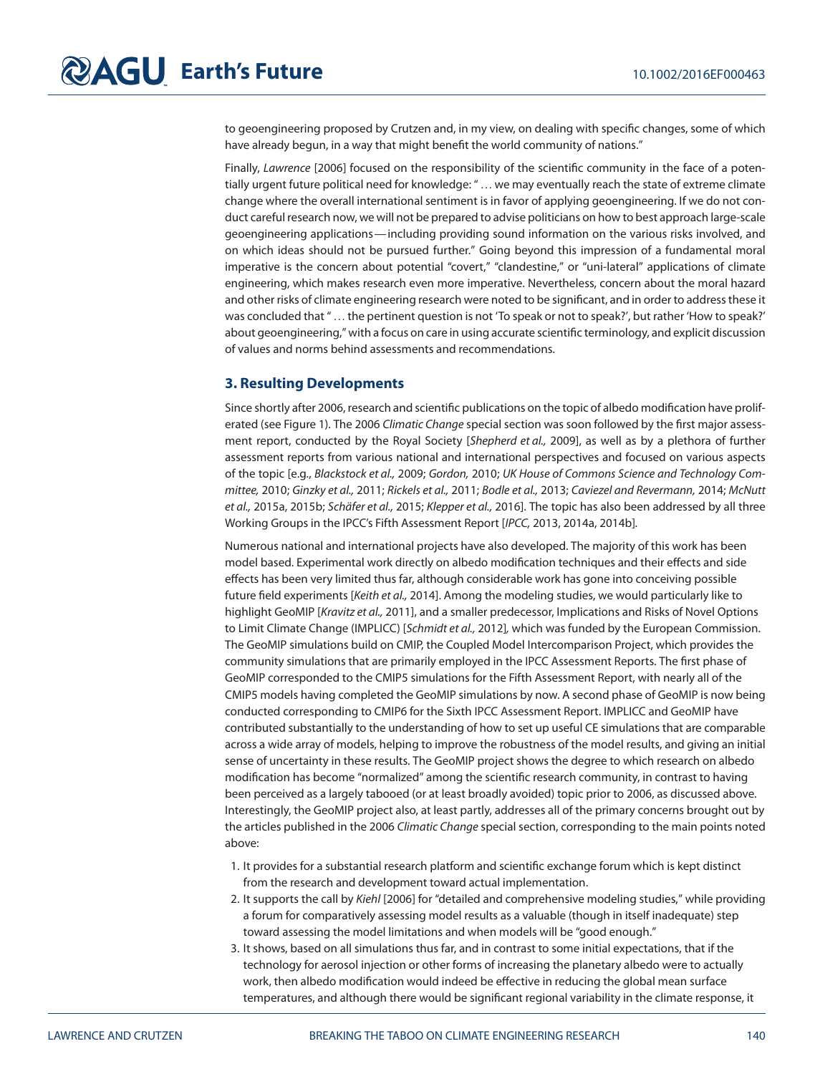to geoengineering proposed by Crutzen and, in my view, on dealing with specific changes, some of which have already begun, in a way that might benefit the world community of nations."

Finally, Lawrence [2006] focused on the responsibility of the scientific community in the face of a potentially urgent future political need for knowledge: " ... we may eventually reach the state of extreme climate change where the overall international sentiment is in favor of applying geoengineering. If we do not conduct careful research now, we will not be prepared to advise politicians on how to best approach large-scale geoengineering applications—including providing sound information on the various risks involved, and on which ideas should not be pursued further." Going beyond this impression of a fundamental moral imperative is the concern about potential "covert," "clandestine," or "uni-lateral" applications of climate engineering, which makes research even more imperative. Nevertheless, concern about the moral hazard and other risks of climate engineering research were noted to be significant, and in order to address these it was concluded that " ... the pertinent question is not 'To speak or not to speak?', but rather 'How to speak?' about geoengineering," with a focus on care in using accurate scientific terminology, and explicit discussion of values and norms behind assessments and recommendations.

## **3. Resulting Developments**

Since shortly after 2006, research and scientific publications on the topic of albedo modification have proliferated (see Figure 1). The 2006 Climatic Change special section was soon followed by the first major assessment report, conducted by the Royal Society [Shepherd et al., 2009], as well as by a plethora of further assessment reports from various national and international perspectives and focused on various aspects of the topic [e.g., Blackstock et al., 2009; Gordon, 2010; UK House of Commons Science and Technology Committee, 2010; Ginzky et al., 2011; Rickels et al., 2011; Bodle et al., 2013; Caviezel and Revermann, 2014; McNutt et al., 2015a, 2015b; Schäfer et al., 2015; Klepper et al., 2016]. The topic has also been addressed by all three Working Groups in the IPCC's Fifth Assessment Report [IPCC, 2013, 2014a, 2014b].

Numerous national and international projects have also developed. The majority of this work has been model based. Experimental work directly on albedo modification techniques and their effects and side effects has been very limited thus far, although considerable work has gone into conceiving possible future field experiments [Keith et al., 2014]. Among the modeling studies, we would particularly like to highlight GeoMIP [Kravitz et al., 2011], and a smaller predecessor, Implications and Risks of Novel Options to Limit Climate Change (IMPLICC) [Schmidt et al., 2012], which was funded by the European Commission. The GeoMIP simulations build on CMIP, the Coupled Model Intercomparison Project, which provides the community simulations that are primarily employed in the IPCC Assessment Reports. The first phase of GeoMIP corresponded to the CMIP5 simulations for the Fifth Assessment Report, with nearly all of the CMIP5 models having completed the GeoMIP simulations by now. A second phase of GeoMIP is now being conducted corresponding to CMIP6 for the Sixth IPCC Assessment Report. IMPLICC and GeoMIP have contributed substantially to the understanding of how to set up useful CE simulations that are comparable across a wide array of models, helping to improve the robustness of the model results, and giving an initial sense of uncertainty in these results. The GeoMIP project shows the degree to which research on albedo modification has become "normalized" among the scientific research community, in contrast to having been perceived as a largely tabooed (or at least broadly avoided) topic prior to 2006, as discussed above. Interestingly, the GeoMIP project also, at least partly, addresses all of the primary concerns brought out by the articles published in the 2006 Climatic Change special section, corresponding to the main points noted above:

- 1. It provides for a substantial research platform and scientific exchange forum which is kept distinct from the research and development toward actual implementation.
- 2. It supports the call by Kiehl [2006] for "detailed and comprehensive modeling studies," while providing a forum for comparatively assessing model results as a valuable (though in itself inadequate) step toward assessing the model limitations and when models will be "good enough."
- 3. It shows, based on all simulations thus far, and in contrast to some initial expectations, that if the technology for aerosol injection or other forms of increasing the planetary albedo were to actually work, then albedo modification would indeed be effective in reducing the global mean surface temperatures, and although there would be significant regional variability in the climate response, it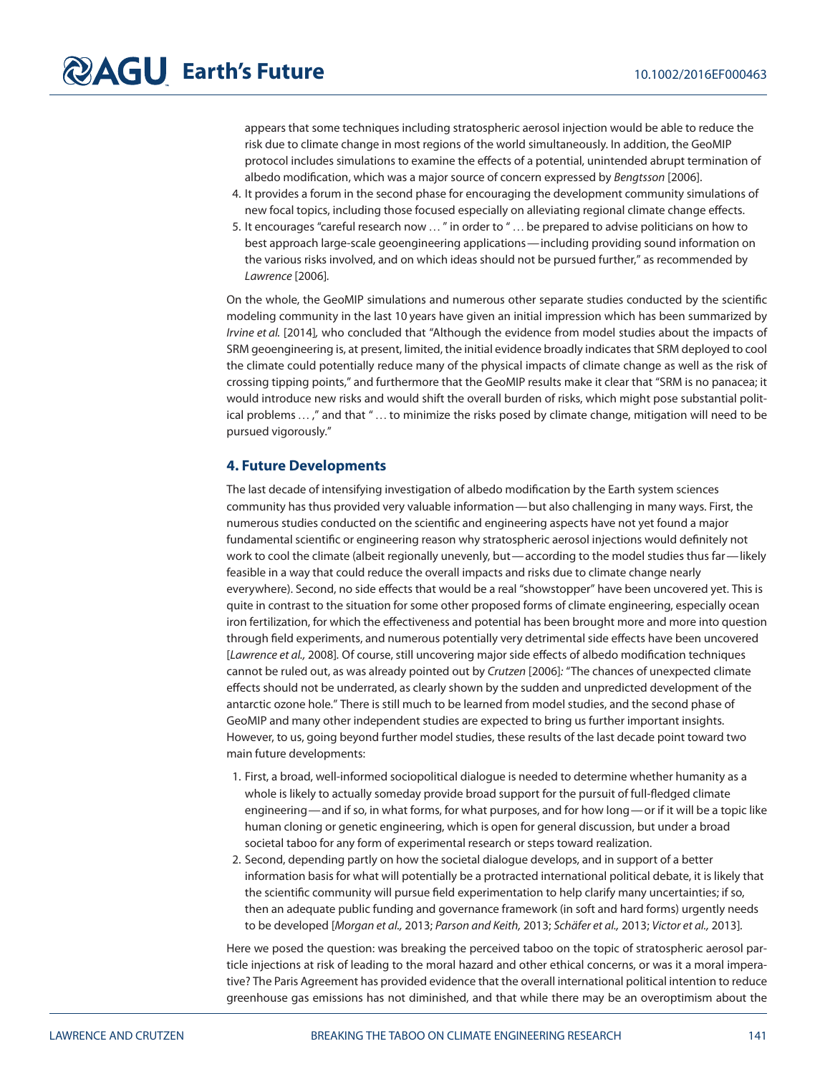appears that some techniques including stratospheric aerosol injection would be able to reduce the risk due to climate change in most regions of the world simultaneously. In addition, the GeoMIP protocol includes simulations to examine the effects of a potential, unintended abrupt termination of albedo modification, which was a major source of concern expressed by Bengtsson [2006].

- 4. It provides a forum in the second phase for encouraging the development community simulations of new focal topics, including those focused especially on alleviating regional climate change effects.
- 5. It encourages "careful research now…" in order to " …be prepared to advise politicians on how to best approach large-scale geoengineering applications—including providing sound information on the various risks involved, and on which ideas should not be pursued further," as recommended by Lawrence [2006].

On the whole, the GeoMIP simulations and numerous other separate studies conducted by the scientific modeling community in the last 10 years have given an initial impression which has been summarized by Irvine et al. [2014], who concluded that "Although the evidence from model studies about the impacts of SRM geoengineering is, at present, limited, the initial evidence broadly indicates that SRM deployed to cool the climate could potentially reduce many of the physical impacts of climate change as well as the risk of crossing tipping points," and furthermore that the GeoMIP results make it clear that "SRM is no panacea; it would introduce new risks and would shift the overall burden of risks, which might pose substantial political problems…," and that "…to minimize the risks posed by climate change, mitigation will need to be pursued vigorously."

# **4. Future Developments**

The last decade of intensifying investigation of albedo modification by the Earth system sciences community has thus provided very valuable information—but also challenging in many ways. First, the numerous studies conducted on the scientific and engineering aspects have not yet found a major fundamental scientific or engineering reason why stratospheric aerosol injections would definitely not work to cool the climate (albeit regionally unevenly, but—according to the model studies thus far—likely feasible in a way that could reduce the overall impacts and risks due to climate change nearly everywhere). Second, no side effects that would be a real "showstopper" have been uncovered yet. This is quite in contrast to the situation for some other proposed forms of climate engineering, especially ocean iron fertilization, for which the effectiveness and potential has been brought more and more into question through field experiments, and numerous potentially very detrimental side effects have been uncovered [Lawrence et al., 2008]. Of course, still uncovering major side effects of albedo modification techniques cannot be ruled out, as was already pointed out by Crutzen [2006]: "The chances of unexpected climate effects should not be underrated, as clearly shown by the sudden and unpredicted development of the antarctic ozone hole." There is still much to be learned from model studies, and the second phase of GeoMIP and many other independent studies are expected to bring us further important insights. However, to us, going beyond further model studies, these results of the last decade point toward two main future developments:

- 1. First, a broad, well-informed sociopolitical dialogue is needed to determine whether humanity as a whole is likely to actually someday provide broad support for the pursuit of full-fledged climate engineering—and if so, in what forms, for what purposes, and for how long—or if it will be a topic like human cloning or genetic engineering, which is open for general discussion, but under a broad societal taboo for any form of experimental research or steps toward realization.
- 2. Second, depending partly on how the societal dialogue develops, and in support of a better information basis for what will potentially be a protracted international political debate, it is likely that the scientific community will pursue field experimentation to help clarify many uncertainties; if so, then an adequate public funding and governance framework (in soft and hard forms) urgently needs to be developed [Morgan et al., 2013; Parson and Keith, 2013; Schäfer et al., 2013; Victor et al., 2013].

Here we posed the question: was breaking the perceived taboo on the topic of stratospheric aerosol particle injections at risk of leading to the moral hazard and other ethical concerns, or was it a moral imperative? The Paris Agreement has provided evidence that the overall international political intention to reduce greenhouse gas emissions has not diminished, and that while there may be an overoptimism about the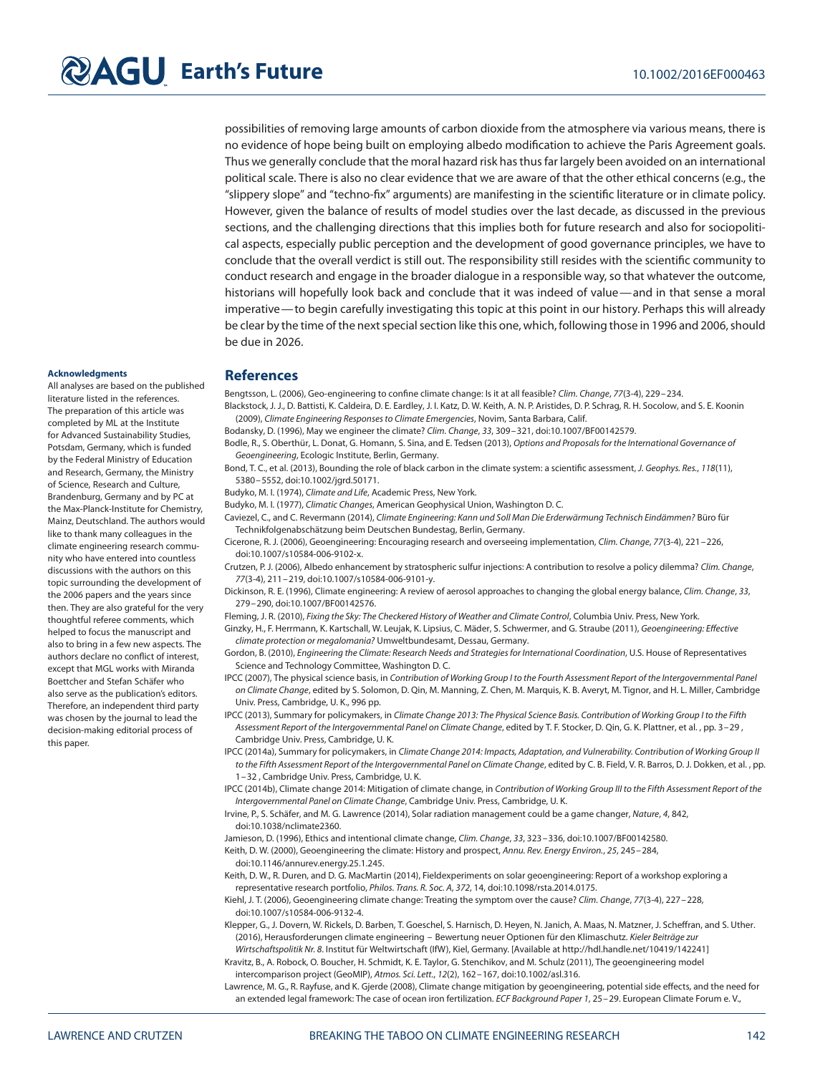possibilities of removing large amounts of carbon dioxide from the atmosphere via various means, there is no evidence of hope being built on employing albedo modification to achieve the Paris Agreement goals. Thus we generally conclude that the moral hazard risk has thus far largely been avoided on an international political scale. There is also no clear evidence that we are aware of that the other ethical concerns (e.g., the "slippery slope" and "techno-fix" arguments) are manifesting in the scientific literature or in climate policy. However, given the balance of results of model studies over the last decade, as discussed in the previous sections, and the challenging directions that this implies both for future research and also for sociopolitical aspects, especially public perception and the development of good governance principles, we have to conclude that the overall verdict is still out. The responsibility still resides with the scientific community to conduct research and engage in the broader dialogue in a responsible way, so that whatever the outcome, historians will hopefully look back and conclude that it was indeed of value—and in that sense a moral imperative— to begin carefully investigating this topic at this point in our history. Perhaps this will already be clear by the time of the next special section like this one, which, following those in 1996 and 2006, should be due in 2026.

#### **Acknowledgments**

All analyses are based on the published literature listed in the references. The preparation of this article was completed by ML at the Institute for Advanced Sustainability Studies, Potsdam, Germany, which is funded by the Federal Ministry of Education and Research, Germany, the Ministry of Science, Research and Culture, Brandenburg, Germany and by PC at the Max-Planck-Institute for Chemistry, Mainz, Deutschland. The authors would like to thank many colleagues in the climate engineering research community who have entered into countless discussions with the authors on this topic surrounding the development of the 2006 papers and the years since then. They are also grateful for the very thoughtful referee comments, which helped to focus the manuscript and also to bring in a few new aspects. The authors declare no conflict of interest, except that MGL works with Miranda Boettcher and Stefan Schäfer who also serve as the publication's editors. Therefore, an independent third party was chosen by the journal to lead the decision-making editorial process of this paper.

#### **References**

Bengtsson, L. (2006), Geo-engineering to confine climate change: Is it at all feasible? Clim. Change, 77(3-4), 229–234.

Blackstock, J. J., D. Battisti, K. Caldeira, D. E. Eardley, J. I. Katz, D. W. Keith, A. N. P. Aristides, D. P. Schrag, R. H. Socolow, and S. E. Koonin (2009), Climate Engineering Responses to Climate Emergencies, Novim, Santa Barbara, Calif.

Bodansky, D. (1996), May we engineer the climate? Clim. Change, 33, 309–321, doi[:10.1007/BF00142579.](http://dx.doi.org/info:doi/10.1007/BF00142579)

- Bodle, R., S. Oberthür, L. Donat, G. Homann, S. Sina, and E. Tedsen (2013), Options and Proposals for the International Governance of Geoengineering, Ecologic Institute, Berlin, Germany.
- Bond, T. C., et al. (2013), Bounding the role of black carbon in the climate system: a scientific assessment, J. Geophys. Res., 118(11), 5380–5552, doi[:10.1002/jgrd.50171.](http://dx.doi.org/info:doi/10.1002/jgrd.50171)

Budyko, M. I. (1974), Climate and Life, Academic Press, New York.

Budyko, M. I. (1977), Climatic Changes, American Geophysical Union, Washington D. C.

- Caviezel, C., and C. Revermann (2014), Climate Engineering: Kann und Soll Man Die Erderwärmung Technisch Eindämmen? Büro für Technikfolgenabschätzung beim Deutschen Bundestag, Berlin, Germany.
- Cicerone, R. J. (2006), Geoengineering: Encouraging research and overseeing implementation, Clim. Change, 77(3-4), 221–226, do[i:10.1007/s10584-006-9102-x.](http://dx.doi.org/info:doi/10.1007/s10584-006-9102-x)
- Crutzen, P. J. (2006), Albedo enhancement by stratospheric sulfur injections: A contribution to resolve a policy dilemma? Clim. Change, 77(3-4), 211–219, doi[:10.1007/s10584-006-9101-y.](http://dx.doi.org/info:doi/10.1007/s10584-006-9101-y)
- Dickinson, R. E. (1996), Climate engineering: A review of aerosol approaches to changing the global energy balance, Clim. Change, 33, 279–290, doi[:10.1007/BF00142576.](http://dx.doi.org/info:doi/10.1007/BF00142576)
- Fleming, J. R. (2010), Fixing the Sky: The Checkered History of Weather and Climate Control, Columbia Univ. Press, New York.
- Ginzky, H., F. Herrmann, K. Kartschall, W. Leujak, K. Lipsius, C. Mäder, S. Schwermer, and G. Straube (2011), Geoengineering: Effective climate protection or megalomania? Umweltbundesamt, Dessau, Germany.
- Gordon, B. (2010), Engineering the Climate: Research Needs and Strategies for International Coordination, U.S. House of Representatives Science and Technology Committee, Washington D. C.
- IPCC (2007), The physical science basis, in Contribution of Working Group I to the Fourth Assessment Report of the Intergovernmental Panel on Climate Change, edited by S. Solomon, D. Qin, M. Manning, Z. Chen, M. Marquis, K. B. Averyt, M. Tignor, and H. L. Miller, Cambridge Univ. Press, Cambridge, U. K., 996 pp.
- IPCC (2013), Summary for policymakers, in Climate Change 2013: The Physical Science Basis. Contribution of Working Group I to the Fifth Assessment Report of the Intergovernmental Panel on Climate Change, edited by T. F. Stocker, D. Qin, G. K. Plattner, et al. , pp. 3–29 , Cambridge Univ. Press, Cambridge, U. K.
- IPCC (2014a), Summary for policymakers, in Climate Change 2014: Impacts, Adaptation, and Vulnerability. Contribution of Working Group II to the Fifth Assessment Report of the Intergovernmental Panel on Climate Change, edited by C. B. Field, V. R. Barros, D. J. Dokken, et al. , pp. 1–32 , Cambridge Univ. Press, Cambridge, U. K.
- IPCC (2014b), Climate change 2014: Mitigation of climate change, in Contribution of Working Group III to the Fifth Assessment Report of the Intergovernmental Panel on Climate Change, Cambridge Univ. Press, Cambridge, U. K.
- Irvine, P., S. Schäfer, and M. G. Lawrence (2014), Solar radiation management could be a game changer, Nature, 4, 842, do[i:10.1038/nclimate2360.](http://dx.doi.org/info:doi/10.1038/nclimate2360)

Jamieson, D. (1996), Ethics and intentional climate change, Clim. Change, 33, 323–336, doi[:10.1007/BF00142580.](http://dx.doi.org/info:doi/10.1007/BF00142580)

- Keith, D. W. (2000), Geoengineering the climate: History and prospect, Annu. Rev. Energy Environ., 25, 245–284, do[i:10.1146/annurev.energy.25.1.245.](http://dx.doi.org/info:doi/10.1146/annurev.energy.25.1.245)
- Keith, D. W., R. Duren, and D. G. MacMartin (2014), Fieldexperiments on solar geoengineering: Report of a workshop exploring a representative research portfolio, Philos. Trans. R. Soc. A, 372, 14, doi[:10.1098/rsta.2014.0175.](http://dx.doi.org/info:doi/10.1098/rsta.2014.0175)
- Kiehl, J. T. (2006), Geoengineering climate change: Treating the symptom over the cause? Clim. Change, 77(3-4), 227-228, do[i:10.1007/s10584-006-9132-4.](http://dx.doi.org/info:doi/10.1007/s10584-006-9132-4)
- Klepper, G., J. Dovern, W. Rickels, D. Barben, T. Goeschel, S. Harnisch, D. Heyen, N. Janich, A. Maas, N. Matzner, J. Scheffran, and S. Uther. (2016), Herausforderungen climate engineering – Bewertung neuer Optionen für den Klimaschutz. Kieler Beiträge zur Wirtschaftspolitik Nr. 8. Institut für Weltwirtschaft (IfW), Kiel, Germany. [Available at [http://hdl.handle.net/10419/142241\]](http://hdl.handle.net/10419/142241)
- Kravitz, B., A. Robock, O. Boucher, H. Schmidt, K. E. Taylor, G. Stenchikov, and M. Schulz (2011), The geoengineering model intercomparison project (GeoMIP), Atmos. Sci. Lett., 12(2), 162–167, doi[:10.1002/asl.316.](http://dx.doi.org/info:doi/10.1002/asl.316)
- Lawrence, M. G., R. Rayfuse, and K. Gjerde (2008), Climate change mitigation by geoengineering, potential side effects, and the need for an extended legal framework: The case of ocean iron fertilization. ECF Background Paper 1, 25-29. European Climate Forum e. V.,